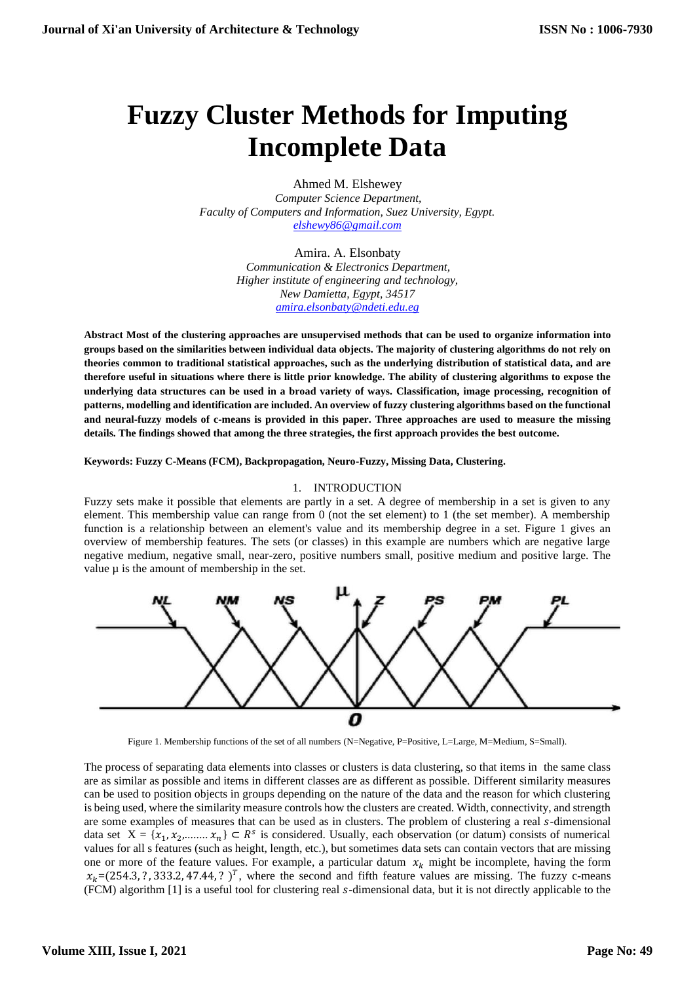# **Fuzzy Cluster Methods for Imputing Incomplete Data**

Ahmed M. Elshewey *Computer Science Department, Faculty of Computers and Information, Suez University, Egypt. [elshewy86@gmail.com](mailto:elshewy86@gmail.com)*

> Amira. A. Elsonbaty *Communication & Electronics Department, Higher institute of engineering and technology, New Damietta, Egypt, 34517 [amira.elsonbaty@ndeti.edu.eg](mailto:amira.elsonbaty@ndeti.edu.eg)*

**Abstract Most of the clustering approaches are unsupervised methods that can be used to organize information into groups based on the similarities between individual data objects. The majority of clustering algorithms do not rely on theories common to traditional statistical approaches, such as the underlying distribution of statistical data, and are therefore useful in situations where there is little prior knowledge. The ability of clustering algorithms to expose the underlying data structures can be used in a broad variety of ways. Classification, image processing, recognition of patterns, modelling and identification are included. An overview of fuzzy clustering algorithms based on the functional and neural-fuzzy models of c-means is provided in this paper. Three approaches are used to measure the missing details. The findings showed that among the three strategies, the first approach provides the best outcome.**

**Keywords: Fuzzy C-Means (FCM), Backpropagation, Neuro-Fuzzy, Missing Data, Clustering.**

## 1. INTRODUCTION

Fuzzy sets make it possible that elements are partly in a set. A degree of membership in a set is given to any element. This membership value can range from 0 (not the set element) to 1 (the set member). A membership function is a relationship between an element's value and its membership degree in a set. Figure 1 gives an overview of membership features. The sets (or classes) in this example are numbers which are negative large negative medium, negative small, near-zero, positive numbers small, positive medium and positive large. The value  $\mu$  is the amount of membership in the set.



Figure 1. Membership functions of the set of all numbers (N=Negative, P=Positive, L=Large, M=Medium, S=Small).

The process of separating data elements into classes or clusters is data clustering, so that items in the same class are as similar as possible and items in different classes are as different as possible. Different similarity measures can be used to position objects in groups depending on the nature of the data and the reason for which clustering is being used, where the similarity measure controls how the clusters are created. Width, connectivity, and strength are some examples of measures that can be used as in clusters. The problem of clustering a real s-dimensional data set  $X = \{x_1, x_2, \dots, x_n\} \subset R^s$  is considered. Usually, each observation (or datum) consists of numerical values for all s features (such as height, length, etc.), but sometimes data sets can contain vectors that are missing one or more of the feature values. For example, a particular datum  $x_k$  might be incomplete, having the form  $x_k = (254.3, ?, 333.2, 47.44, ?)$ , where the second and fifth feature values are missing. The fuzzy c-means (FCM) algorithm [1] is a useful tool for clustering real s-dimensional data, but it is not directly applicable to the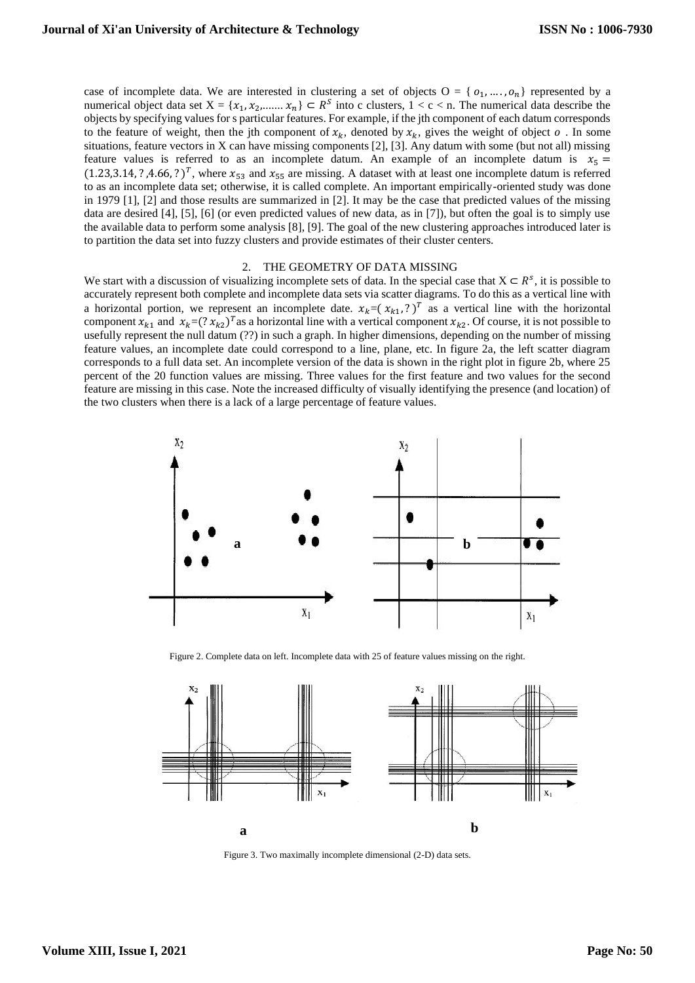case of incomplete data. We are interested in clustering a set of objects  $O = \{o_1, \ldots, o_n\}$  represented by a numerical object data set  $X = \{x_1, x_2, \dots, x_n\} \subset R^S$  into c clusters,  $1 < c < n$ . The numerical data describe the objects by specifying values for s particular features. For example, if the jth component of each datum corresponds to the feature of weight, then the jth component of  $x_k$ , denoted by  $x_k$ , gives the weight of object  $o$ . In some situations, feature vectors in X can have missing components [2], [3]. Any datum with some (but not all) missing feature values is referred to as an incomplete datum. An example of an incomplete datum is  $x_5 =$  $(1.23,3.14, ?, 4.66, ?)^T$ , where  $x_{53}$  and  $x_{55}$  are missing. A dataset with at least one incomplete datum is referred to as an incomplete data set; otherwise, it is called complete. An important empirically-oriented study was done in 1979 [1], [2] and those results are summarized in [2]. It may be the case that predicted values of the missing data are desired [4], [5], [6] (or even predicted values of new data, as in [7]), but often the goal is to simply use the available data to perform some analysis [8], [9]. The goal of the new clustering approaches introduced later is to partition the data set into fuzzy clusters and provide estimates of their cluster centers.

#### 2. THE GEOMETRY OF DATA MISSING

We start with a discussion of visualizing incomplete sets of data. In the special case that  $X \subset R^s$ , it is possible to accurately represent both complete and incomplete data sets via scatter diagrams. To do this as a vertical line with a horizontal portion, we represent an incomplete date.  $x_k = (x_{k1}, ?)^T$  as a vertical line with the horizontal component  $x_{k1}$  and  $x_k = (? x_{k2})^T$  as a horizontal line with a vertical component  $x_{k2}$ . Of course, it is not possible to usefully represent the null datum (??) in such a graph. In higher dimensions, depending on the number of missing feature values, an incomplete date could correspond to a line, plane, etc. In figure 2a, the left scatter diagram corresponds to a full data set. An incomplete version of the data is shown in the right plot in figure 2b, where 25 percent of the 20 function values are missing. Three values for the first feature and two values for the second feature are missing in this case. Note the increased difficulty of visually identifying the presence (and location) of the two clusters when there is a lack of a large percentage of feature values.



Figure 2. Complete data on left. Incomplete data with 25 of feature values missing on the right.



Figure 3. Two maximally incomplete dimensional (2-D) data sets.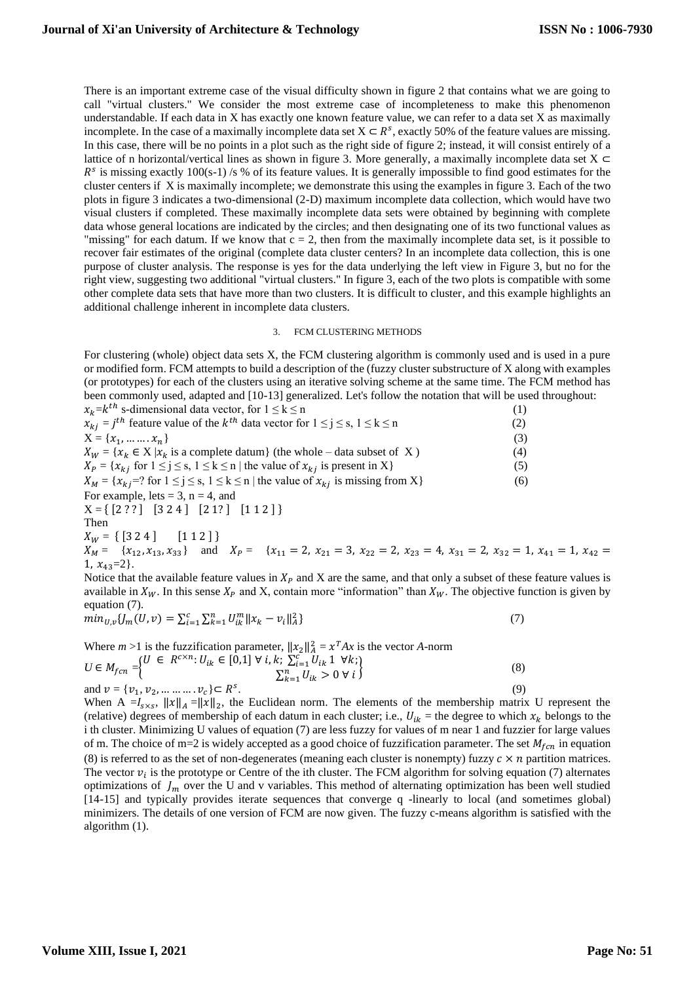There is an important extreme case of the visual difficulty shown in figure 2 that contains what we are going to call "virtual clusters." We consider the most extreme case of incompleteness to make this phenomenon understandable. If each data in X has exactly one known feature value, we can refer to a data set X as maximally incomplete. In the case of a maximally incomplete data set  $X \subset R^s$ , exactly 50% of the feature values are missing. In this case, there will be no points in a plot such as the right side of figure 2; instead, it will consist entirely of a lattice of n horizontal/vertical lines as shown in figure 3. More generally, a maximally incomplete data set  $X \subset$  $R<sup>s</sup>$  is missing exactly 100(s-1) /s % of its feature values. It is generally impossible to find good estimates for the cluster centers if X is maximally incomplete; we demonstrate this using the examples in figure 3. Each of the two plots in figure 3 indicates a two-dimensional (2-D) maximum incomplete data collection, which would have two visual clusters if completed. These maximally incomplete data sets were obtained by beginning with complete data whose general locations are indicated by the circles; and then designating one of its two functional values as "missing" for each datum. If we know that  $c = 2$ , then from the maximally incomplete data set, is it possible to recover fair estimates of the original (complete data cluster centers? In an incomplete data collection, this is one purpose of cluster analysis. The response is yes for the data underlying the left view in Figure 3, but no for the right view, suggesting two additional "virtual clusters." In figure 3, each of the two plots is compatible with some other complete data sets that have more than two clusters. It is difficult to cluster, and this example highlights an additional challenge inherent in incomplete data clusters.

### 3. FCM CLUSTERING METHODS

For clustering (whole) object data sets X, the FCM clustering algorithm is commonly used and is used in a pure or modified form. FCM attempts to build a description of the (fuzzy cluster substructure of X along with examples (or prototypes) for each of the clusters using an iterative solving scheme at the same time. The FCM method has been commonly used, adapted and [10-13] generalized. Let's follow the notation that will be used throughout: ℎ

| $x_k = k^{th}$ s-dimensional data vector, for $1 \le k \le n$                                                                                                                                                                                                     | (1) |
|-------------------------------------------------------------------------------------------------------------------------------------------------------------------------------------------------------------------------------------------------------------------|-----|
| $x_{ki} = j^{th}$ feature value of the $k^{th}$ data vector for $1 \le j \le s, 1 \le k \le n$                                                                                                                                                                    | (2) |
| $X = \{x_1, \dots \dots x_n\}$                                                                                                                                                                                                                                    | (3) |
| $X_W = \{x_k \in X   x_k \text{ is a complete datum}\}$ (the whole – data subset of X)                                                                                                                                                                            | (4) |
| $X_P = \{x_{ki} \text{ for } 1 \leq j \leq s, 1 \leq k \leq n \mid \text{the value of } x_{ki} \text{ is present in } X\}$                                                                                                                                        | (5) |
| $X_M = \{x_{ki} = ? \text{ for } 1 \le j \le s, 1 \le k \le n \mid \text{the value of } x_{ki} \text{ is missing from } X\}$                                                                                                                                      | (6) |
| For example, lets = 3, $n = 4$ , and                                                                                                                                                                                                                              |     |
| $X = \{ [2\ ?\ ] \ [3\ 2\ 4 \ ] \ [2\ 1\ ? \ ] \ [1\ 1\ 2 \ ] \}$                                                                                                                                                                                                 |     |
| Then                                                                                                                                                                                                                                                              |     |
| $X_W = \{ [3\ 2\ 4] \qquad [1\ 1\ 2] \}$                                                                                                                                                                                                                          |     |
| $X_M = \{x_{12}, x_{13}, x_{33}\}$ and $X_P = \{x_{11} = 2, x_{21} = 3, x_{22} = 2, x_{23} = 4, x_{31} = 2, x_{32} = 1, x_{41} = 1, x_{42} = 1\}$                                                                                                                 |     |
| 1, $x_{43}=2$ .                                                                                                                                                                                                                                                   |     |
| $\mathbf{M}$ , the contract of the final contract $\mathbf{M}$ and $\mathbf{M}$ are the contract of the contract of $\mathbf{M}$ and $\mathbf{M}$ are the contract of $\mathbf{M}$ and $\mathbf{M}$ are the contract of $\mathbf{M}$ and $\mathbf{M}$ are the con |     |

Notice that the available feature values in  $X_p$  and X are the same, and that only a subset of these feature values is available in  $X_W$ . In this sense  $X_P$  and X, contain more "information" than  $X_W$ . The objective function is given by equation (7).

$$
min_{U,v} \{ J_m(U,v) = \sum_{i=1}^{c} \sum_{k=1}^{n} U_{ik}^{m} ||x_k - v_i||_A^2 \}
$$
\n<sup>(7)</sup>

Where  $m > 1$  is the fuzzification parameter,  $||x_2||_A^2 = x^T A x$  is the vector *A*-norm  $U \in M_{fcn} = \begin{cases} U \in R^{c \times n}: U_{ik} \in [0,1] \forall i, k: \sum_{i=1}^{c} U_{ik} \mathbb{1} \forall k; \\ \sum_{i=1}^{n} U_{ik} \leq 0 \forall i. \end{cases}$  $\sum_{k=1}^{n} U_{ik} > 0 \forall i$  (8) and  $v = \{v_1, v_2, \dots \dots \dots v_c\} \subset R^s$ .  $(9)$ 

When A = $I_{s \times s}$ ,  $||x||_A = ||x||_2$ , the Euclidean norm. The elements of the membership matrix U represent the (relative) degrees of membership of each datum in each cluster; i.e.,  $U_{ik}$  = the degree to which  $x_k$  belongs to the i th cluster. Minimizing U values of equation (7) are less fuzzy for values of m near 1 and fuzzier for large values of m. The choice of m=2 is widely accepted as a good choice of fuzzification parameter. The set  $M_{fcn}$  in equation (8) is referred to as the set of non-degenerates (meaning each cluster is nonempty) fuzzy  $c \times n$  partition matrices. The vector  $v_i$  is the prototype or Centre of the ith cluster. The FCM algorithm for solving equation (7) alternates optimizations of  $J_m$  over the U and v variables. This method of alternating optimization has been well studied [14-15] and typically provides iterate sequences that converge q -linearly to local (and sometimes global) minimizers. The details of one version of FCM are now given. The fuzzy c-means algorithm is satisfied with the algorithm (1).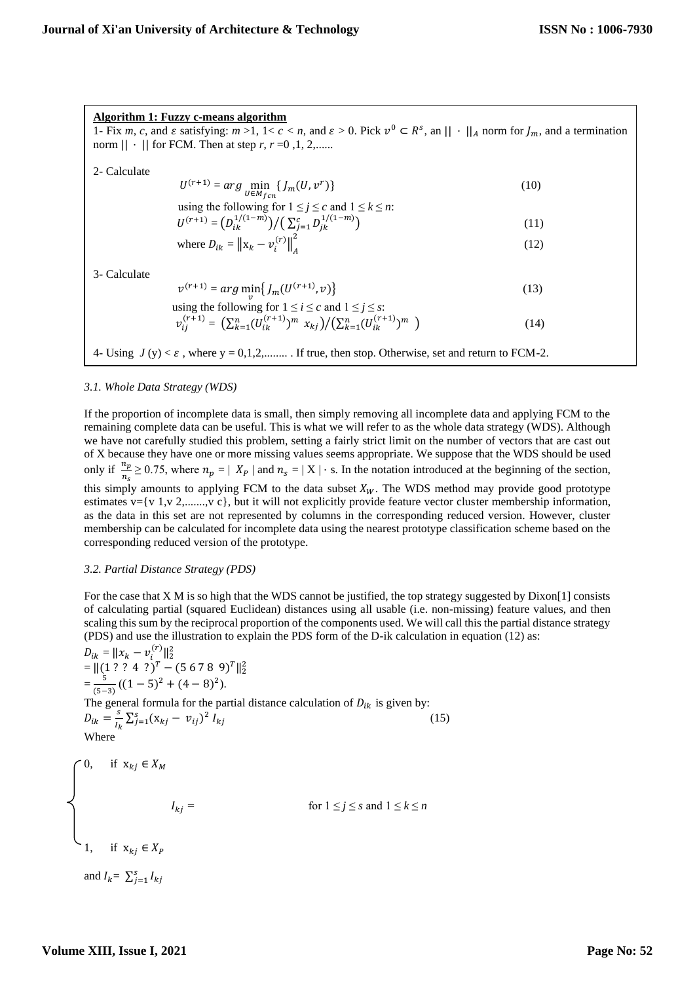**Algorithm 1: Fuzzy c-means algorithm** 1- Fix *m*, *c*, and  $\varepsilon$  satisfying:  $m > 1$ ,  $1 < c < n$ , and  $\varepsilon > 0$ . Pick  $v^0 \subset R^s$ , an  $|| \cdot ||_A$  norm for  $J_m$ , and a termination norm  $|| \cdot ||$  for FCM. Then at step *r*,  $r = 0, 1, 2, \dots$ 2- Calculate  $U^{(r+1)} = \arg\min_{U \in M_{fcn}} \{J_m(U, v^r)\}$  (10) using the following for  $1 \le j \le c$  and  $1 \le k \le n$ :  $U^{(r+1)} = (D_{ik}^{1/(1-m)}) / (\sum_{j=1}^{c} D_{jk}^{1/(1-m)})$  (11) where  $D_{ik} = ||\mathbf{x}_k - v_i^{(r)}||_A^2$  $2^{2}$  (12) 3- Calculate  $v^{(r+1)} = arg \min_{v} \{ J_m(U^{(r+1)}, v) \}$  (13) using the following for  $1 \le i \le c$  and  $1 \le j \le s$ :

$$
v_{ij}^{(r+1)} = \left(\sum_{k=1}^{n} (U_{ik}^{(r+1)})^m x_{kj}\right) / \left(\sum_{k=1}^{n} (U_{ik}^{(r+1)})^m\right)
$$
 (14)

4- Using  $J(y) < \varepsilon$ , where y = 0,1,2,......... If true, then stop. Otherwise, set and return to FCM-2.

#### *3.1. Whole Data Strategy (WDS)*

I

If the proportion of incomplete data is small, then simply removing all incomplete data and applying FCM to the remaining complete data can be useful. This is what we will refer to as the whole data strategy (WDS). Although we have not carefully studied this problem, setting a fairly strict limit on the number of vectors that are cast out of X because they have one or more missing values seems appropriate. We suppose that the WDS should be used only if  $\frac{n_p}{n_s} \ge 0.75$ , where  $n_p = |X_P|$  and  $n_s = |X| \cdot s$ . In the notation introduced at the beginning of the section, this simply amounts to applying FCM to the data subset  $X_W$ . The WDS method may provide good prototype estimates  $v=[v 1, v 2, \ldots, v c]$ , but it will not explicitly provide feature vector cluster membership information, as the data in this set are not represented by columns in the corresponding reduced version. However, cluster membership can be calculated for incomplete data using the nearest prototype classification scheme based on the corresponding reduced version of the prototype.

#### *3.2. Partial Distance Strategy (PDS)*

For the case that X M is so high that the WDS cannot be justified, the top strategy suggested by Dixon [1] consists of calculating partial (squared Euclidean) distances using all usable (i.e. non-missing) feature values, and then scaling this sum by the reciprocal proportion of the components used. We will call this the partial distance strategy (PDS) and use the illustration to explain the PDS form of the D-ik calculation in equation (12) as:

$$
D_{ik} = ||x_k - v_i^{(r)}||_2^2
$$
  
\n
$$
= ||(1 ? ? 4 ?)^T - (5 6 7 8 9)^T||_2^2
$$
  
\n
$$
= \frac{5}{(5-3)}((1-5)^2 + (4-8)^2).
$$
  
\nThe general formula for the partial distance calculation of  $D_{ik}$  is given by:  
\n
$$
D_{ik} = \frac{s}{I_k} \sum_{j=1}^{S} (x_{kj} - v_{ij})^2 I_{kj}
$$
\nWhere  
\n60. if  $x_{kj} \in X_M$   
\n
$$
I_{kj} = \qquad \text{for } 1 \le j \le s \text{ and } 1 \le k \le n
$$
  
\n71. if  $x_{kj} \in X_P$   
\nand  $I_k = \sum_{j=1}^{s} I_{kj}$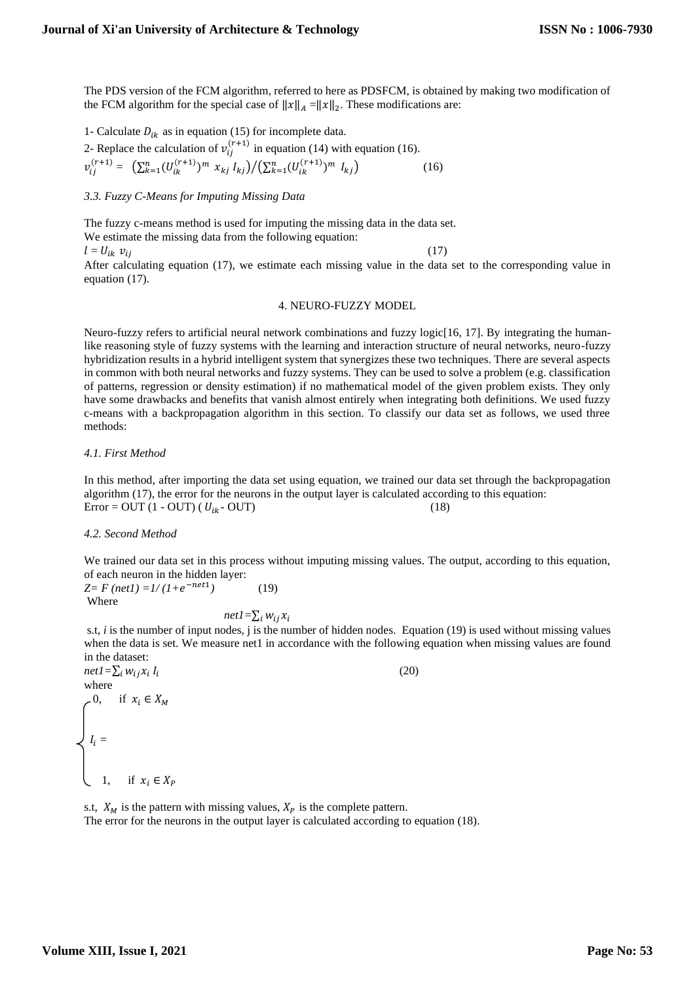The PDS version of the FCM algorithm, referred to here as PDSFCM, is obtained by making two modification of the FCM algorithm for the special case of  $||x||_A = ||x||_2$ . These modifications are:

1- Calculate  $D_{ik}$  as in equation (15) for incomplete data.

2- Replace the calculation of 
$$
v_{ij}^{(r+1)}
$$
 in equation (14) with equation (16).  
\n
$$
v_{ij}^{(r+1)} = \left( \sum_{k=1}^{n} (U_{ik}^{(r+1)})^m x_{kj} I_{kj} \right) / \left( \sum_{k=1}^{n} (U_{ik}^{(r+1)})^m I_{kj} \right)
$$
\n(16)

*3.3. Fuzzy C-Means for Imputing Missing Data*

The fuzzy c-means method is used for imputing the missing data in the data set.

We estimate the missing data from the following equation:

 $l = U_{ik} v_{ij}$  (17)

After calculating equation (17), we estimate each missing value in the data set to the corresponding value in equation (17).

#### 4. NEURO-FUZZY MODEL

Neuro-fuzzy refers to artificial neural network combinations and fuzzy logic[16, 17]. By integrating the humanlike reasoning style of fuzzy systems with the learning and interaction structure of neural networks, neuro-fuzzy hybridization results in a hybrid intelligent system that synergizes these two techniques. There are several aspects in common with both neural networks and fuzzy systems. They can be used to solve a problem (e.g. classification of patterns, regression or density estimation) if no mathematical model of the given problem exists. They only have some drawbacks and benefits that vanish almost entirely when integrating both definitions. We used fuzzy c-means with a backpropagation algorithm in this section. To classify our data set as follows, we used three methods:

*4.1. First Method*

In this method, after importing the data set using equation, we trained our data set through the backpropagation algorithm (17), the error for the neurons in the output layer is calculated according to this equation:  $Error = OUT (1 - OUT) (U_{ik} - OUT)$  (18)

## *4.2. Second Method*

We trained our data set in this process without imputing missing values. The output, according to this equation, of each neuron in the hidden layer:

 $Z= F \left( net1 \right) = 1/(1+e^{-net1})$ *)* (19) Where

 $net1=\sum_i w_{ij}x_i$ 

s.t, *i* is the number of input nodes, j is the number of hidden nodes. Equation (19) is used without missing values when the data is set. We measure net1 in accordance with the following equation when missing values are found in the dataset:  $(20)$ 

 $net1=\sum_i w_{ij}x_i I_i$ where  $-0$ , if  $x_i \in X_M$  $\int I_i =$  $\bigcup_{i} 1, \quad \text{if } x_i \in X_P$ 

s.t,  $X_M$  is the pattern with missing values,  $X_P$  is the complete pattern. The error for the neurons in the output layer is calculated according to equation (18).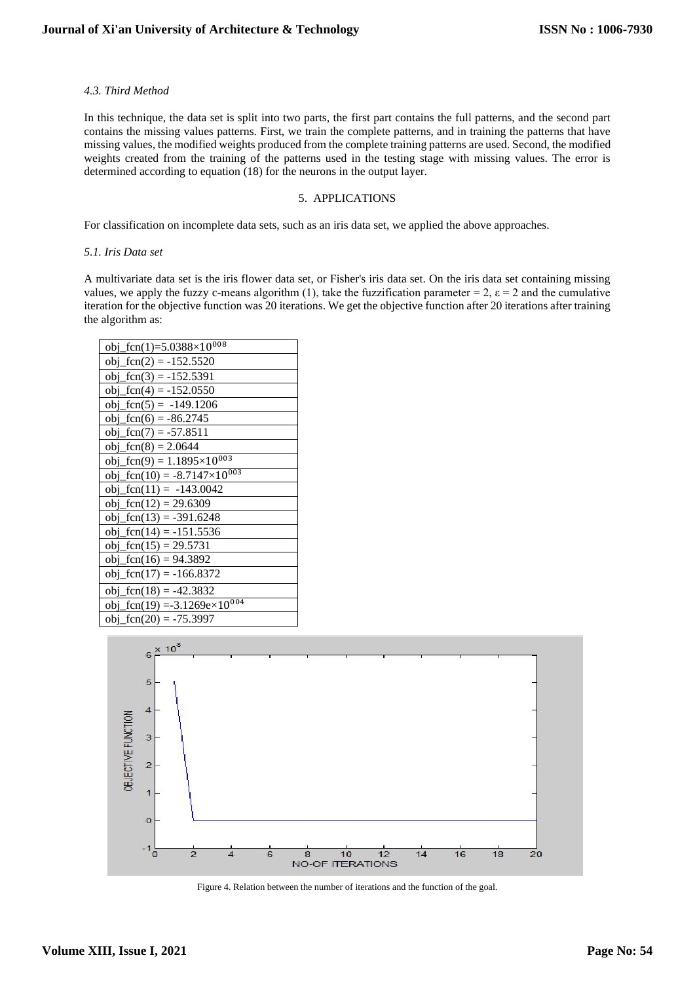### *4.3. Third Method*

In this technique, the data set is split into two parts, the first part contains the full patterns, and the second part contains the missing values patterns. First, we train the complete patterns, and in training the patterns that have missing values, the modified weights produced from the complete training patterns are used. Second, the modified weights created from the training of the patterns used in the testing stage with missing values. The error is determined according to equation (18) for the neurons in the output layer.

## 5. APPLICATIONS

For classification on incomplete data sets, such as an iris data set, we applied the above approaches.

#### *5.1. Iris Data set*

A multivariate data set is the iris flower data set, or Fisher's iris data set. On the iris data set containing missing values, we apply the fuzzy c-means algorithm (1), take the fuzzification parameter = 2,  $\varepsilon$  = 2 and the cumulative iteration for the objective function was 20 iterations. We get the objective function after 20 iterations after training the algorithm as:

| obj_fcn(1)=5.0388×10 <sup>008</sup>                                                         |
|---------------------------------------------------------------------------------------------|
| $obj_{}gen(2) = -152.5520$                                                                  |
| $obj_fcn(3) = -152.5391$                                                                    |
| obj_fcn(4) = $-152.0550$                                                                    |
| obj_fcn(5) = $-149.1206$                                                                    |
| obj_fcn(6) = $-86.2745$                                                                     |
| obj_fcn(7) = $-57.8511$                                                                     |
| $obj_{}gen(8) = 2.0644$                                                                     |
| $\frac{\text{obj\_fen}(9)}{1.1895 \times 10^{003}}$                                         |
| obj_fcn(10) = $-8.7147 \times 10^{003}$                                                     |
| obj_fcn(11) = -143.0042                                                                     |
| obj_fcn(12) = 29.6309                                                                       |
| obj_fcn(13) = -391.6248                                                                     |
| obj_fcn(14) = $-151.5536$                                                                   |
| $obj_{}gen(15) = 29.5731$                                                                   |
| obj_fcn(16) = 94.3892                                                                       |
| obj_fcn(17) = $-166.8372$                                                                   |
| obj_fcn(18) = -42.3832                                                                      |
| $\frac{\text{obj\_fen}(19) = -3.1269 \text{e} \times 10^{004}}{2 \text{e} \times 10^{004}}$ |
| $obj_{}gen(20) = -75.3997$                                                                  |



Figure 4. Relation between the number of iterations and the function of the goal.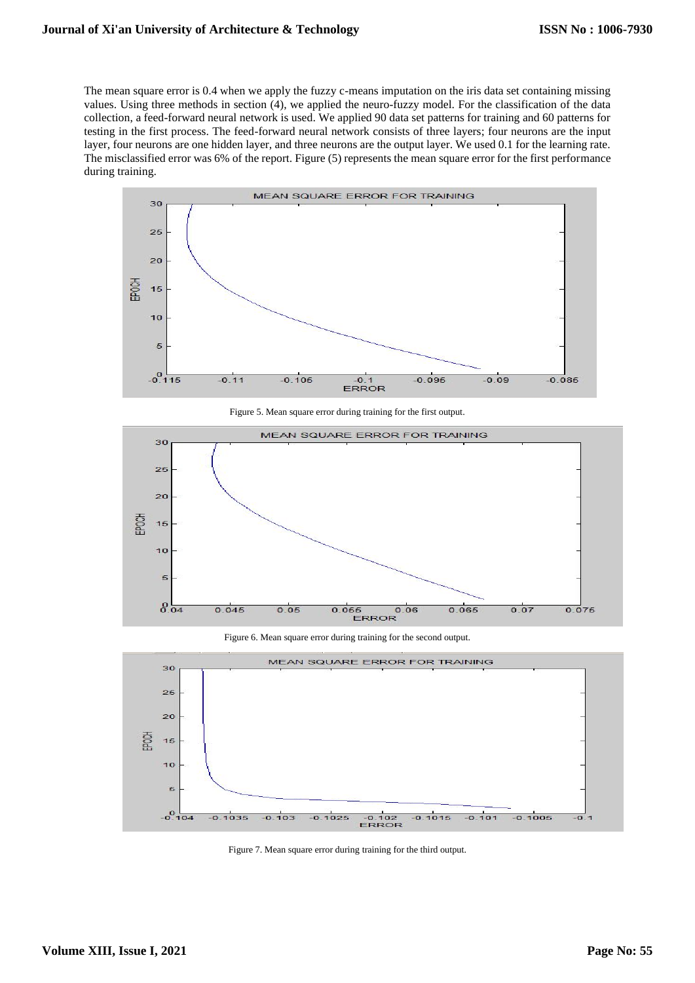The mean square error is 0.4 when we apply the fuzzy c-means imputation on the iris data set containing missing values. Using three methods in section (4), we applied the neuro-fuzzy model. For the classification of the data collection, a feed-forward neural network is used. We applied 90 data set patterns for training and 60 patterns for testing in the first process. The feed-forward neural network consists of three layers; four neurons are the input layer, four neurons are one hidden layer, and three neurons are the output layer. We used 0.1 for the learning rate. The misclassified error was 6% of the report. Figure (5) represents the mean square error for the first performance during training.



Figure 5. Mean square error during training for the first output.



Figure 6. Mean square error during training for the second output.



Figure 7. Mean square error during training for the third output.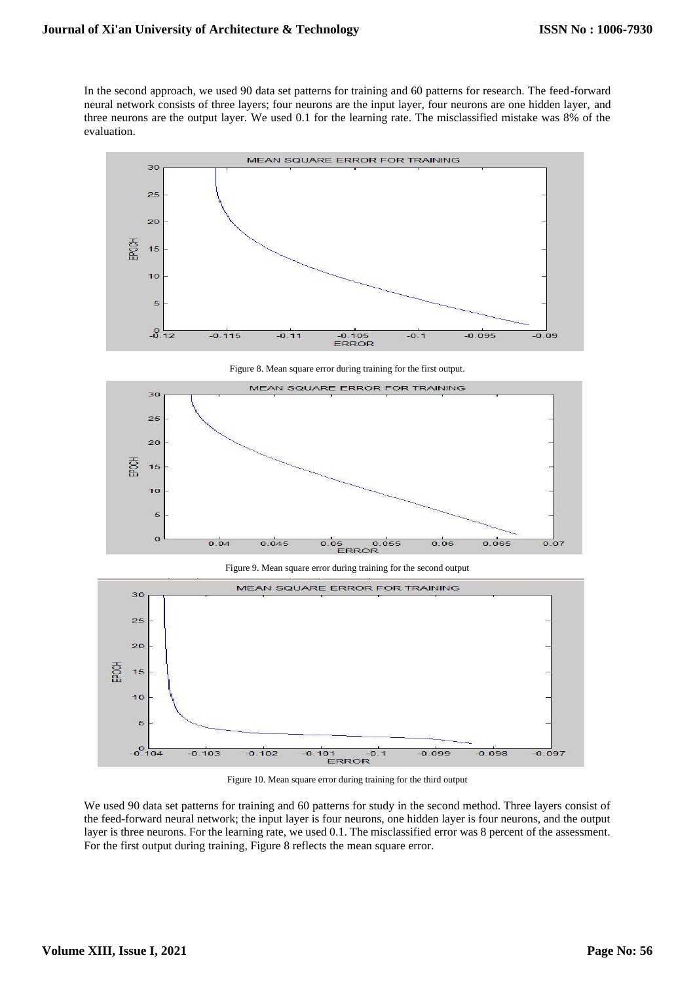In the second approach, we used 90 data set patterns for training and 60 patterns for research. The feed-forward neural network consists of three layers; four neurons are the input layer, four neurons are one hidden layer, and three neurons are the output layer. We used 0.1 for the learning rate. The misclassified mistake was 8% of the evaluation.



Figure 8. Mean square error during training for the first output.







Figure 10. Mean square error during training for the third output

We used 90 data set patterns for training and 60 patterns for study in the second method. Three layers consist of the feed-forward neural network; the input layer is four neurons, one hidden layer is four neurons, and the output layer is three neurons. For the learning rate, we used 0.1. The misclassified error was 8 percent of the assessment. For the first output during training, Figure 8 reflects the mean square error.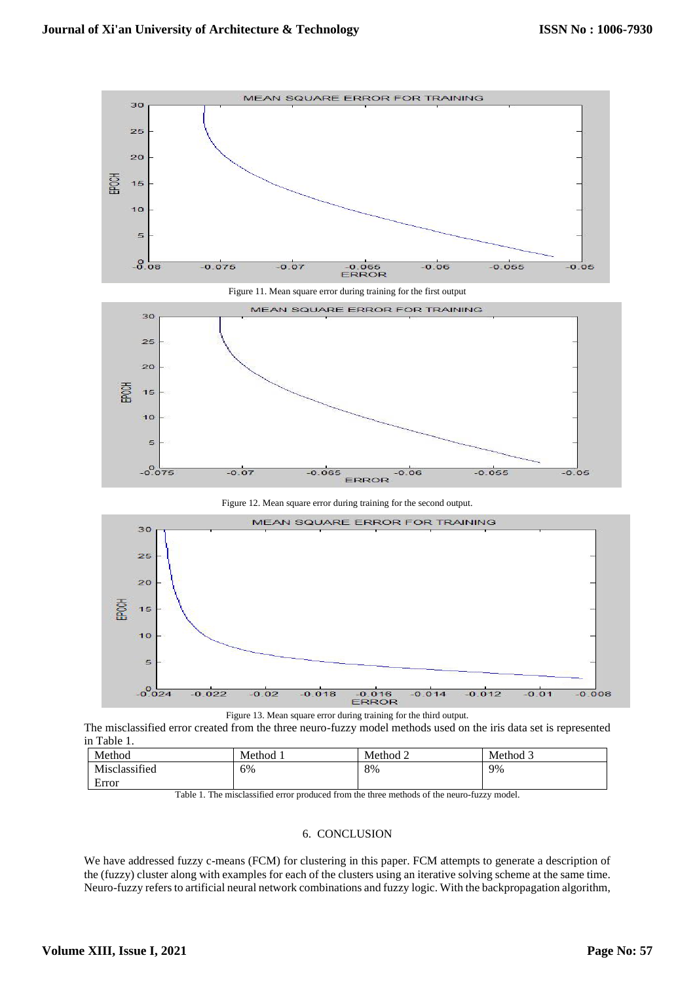





Figure 12. Mean square error during training for the second output.



Figure 13. Mean square error during training for the third output.

The misclassified error created from the three neuro-fuzzy model methods used on the iris data set is represented in Table 1.

| Method        | Method 1 | Method 2 | Method 3 |
|---------------|----------|----------|----------|
| Misclassified | 6%       | 8%       | 9%       |
| −<br>Error    |          |          |          |

Table 1. The misclassified error produced from the three methods of the neuro-fuzzy model.

## 6. CONCLUSION

We have addressed fuzzy c-means (FCM) for clustering in this paper. FCM attempts to generate a description of the (fuzzy) cluster along with examples for each of the clusters using an iterative solving scheme at the same time. Neuro-fuzzy refers to artificial neural network combinations and fuzzy logic. With the backpropagation algorithm,